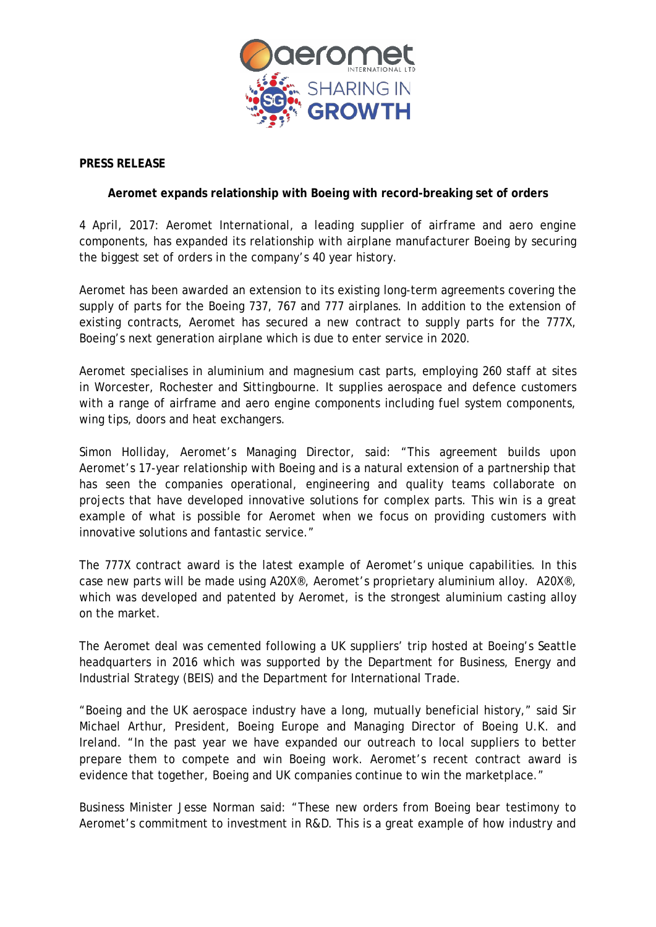

# **PRESS RELEASE**

## **Aeromet expands relationship with Boeing with record-breaking set of orders**

4 April, 2017: Aeromet International, a leading supplier of airframe and aero engine components, has expanded its relationship with airplane manufacturer Boeing by securing the biggest set of orders in the company's 40 year history.

Aeromet has been awarded an extension to its existing long-term agreements covering the supply of parts for the Boeing 737, 767 and 777 airplanes. In addition to the extension of existing contracts, Aeromet has secured a new contract to supply parts for the 777X, Boeing's next generation airplane which is due to enter service in 2020.

Aeromet specialises in aluminium and magnesium cast parts, employing 260 staff at sites in Worcester, Rochester and Sittingbourne. It supplies aerospace and defence customers with a range of airframe and aero engine components including fuel system components, wing tips, doors and heat exchangers.

Simon Holliday, Aeromet's Managing Director, said: "This agreement builds upon Aeromet's 17-year relationship with Boeing and is a natural extension of a partnership that has seen the companies operational, engineering and quality teams collaborate on projects that have developed innovative solutions for complex parts. This win is a great example of what is possible for Aeromet when we focus on providing customers with innovative solutions and fantastic service."

The 777X contract award is the latest example of Aeromet's unique capabilities. In this case new parts will be made using A20X®, Aeromet's proprietary aluminium alloy. A20X®, which was developed and patented by Aeromet, is the strongest aluminium casting alloy on the market.

The Aeromet deal was cemented following a UK suppliers' trip hosted at Boeing's Seattle headquarters in 2016 which was supported by the Department for Business, Energy and Industrial Strategy (BEIS) and the Department for International Trade.

"Boeing and the UK aerospace industry have a long, mutually beneficial history," said Sir Michael Arthur, President, Boeing Europe and Managing Director of Boeing U.K. and Ireland. "In the past year we have expanded our outreach to local suppliers to better prepare them to compete and win Boeing work. Aeromet's recent contract award is evidence that together, Boeing and UK companies continue to win the marketplace."

Business Minister Jesse Norman said: "These new orders from Boeing bear testimony to Aeromet's commitment to investment in R&D. This is a great example of how industry and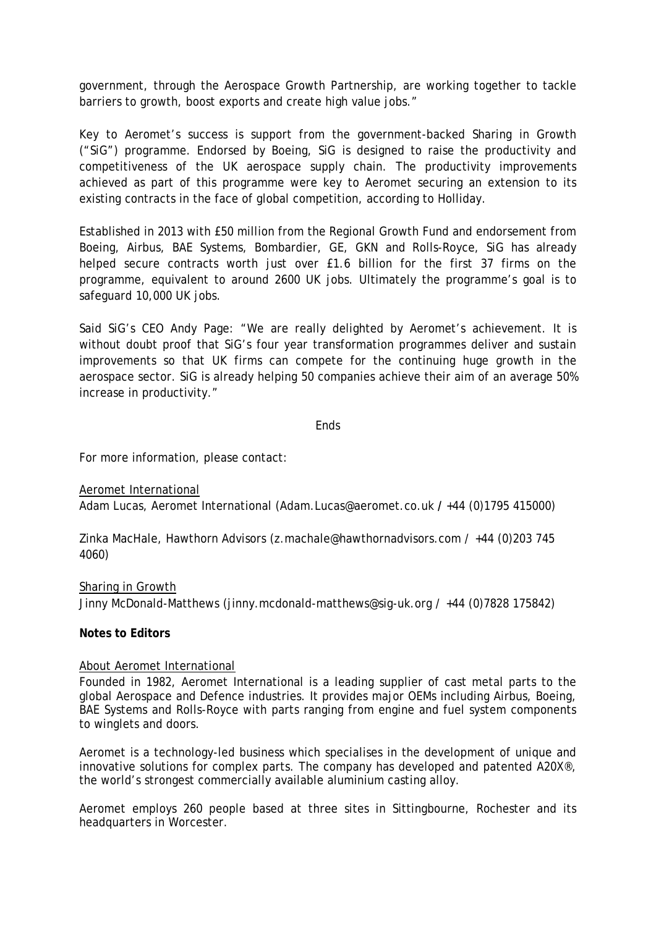government, through the Aerospace Growth Partnership, are working together to tackle barriers to growth, boost exports and create high value jobs."

Key to Aeromet's success is support from the government-backed Sharing in Growth ("SiG") programme. Endorsed by Boeing, SiG is designed to raise the productivity and competitiveness of the UK aerospace supply chain. The productivity improvements achieved as part of this programme were key to Aeromet securing an extension to its existing contracts in the face of global competition, according to Holliday.

Established in 2013 with £50 million from the Regional Growth Fund and endorsement from Boeing, Airbus, BAE Systems, Bombardier, GE, GKN and Rolls-Royce, SiG has already helped secure contracts worth just over £1.6 billion for the first 37 firms on the programme, equivalent to around 2600 UK jobs. Ultimately the programme's goal is to safeguard 10,000 UK jobs.

Said SiG's CEO Andy Page: "We are really delighted by Aeromet's achievement. It is without doubt proof that SiG's four year transformation programmes deliver and sustain improvements so that UK firms can compete for the continuing huge growth in the aerospace sector. SiG is already helping 50 companies achieve their aim of an average 50% increase in productivity."

### Ends

For more information, please contact:

Aeromet International Adam Lucas, Aeromet International (Adam.Lucas@aeromet.co.uk **/** +44 (0)1795 415000)

Zinka MacHale, Hawthorn Advisors [\(z.machale@hawthornadvisors.com](mailto:z.machale@hawthornadvisors.com) / +44 (0)203 745 4060)

#### Sharing in Growth

Jinny McDonald-Matthews [\(jinny.mcdonald-matthews@sig-uk.org](mailto:jinny.mcdonald-matthews@sig-uk.org) / +44 (0)7828 175842)

#### **Notes to Editors**

#### About Aeromet International

Founded in 1982, Aeromet International is a leading supplier of cast metal parts to the global Aerospace and Defence industries. It provides major OEMs including Airbus, Boeing, BAE Systems and Rolls-Royce with parts ranging from engine and fuel system components to winglets and doors.

Aeromet is a technology-led business which specialises in the development of unique and innovative solutions for complex parts. The company has developed and patented A20X®, the world's strongest commercially available aluminium casting alloy.

Aeromet employs 260 people based at three sites in Sittingbourne, Rochester and its headquarters in Worcester.